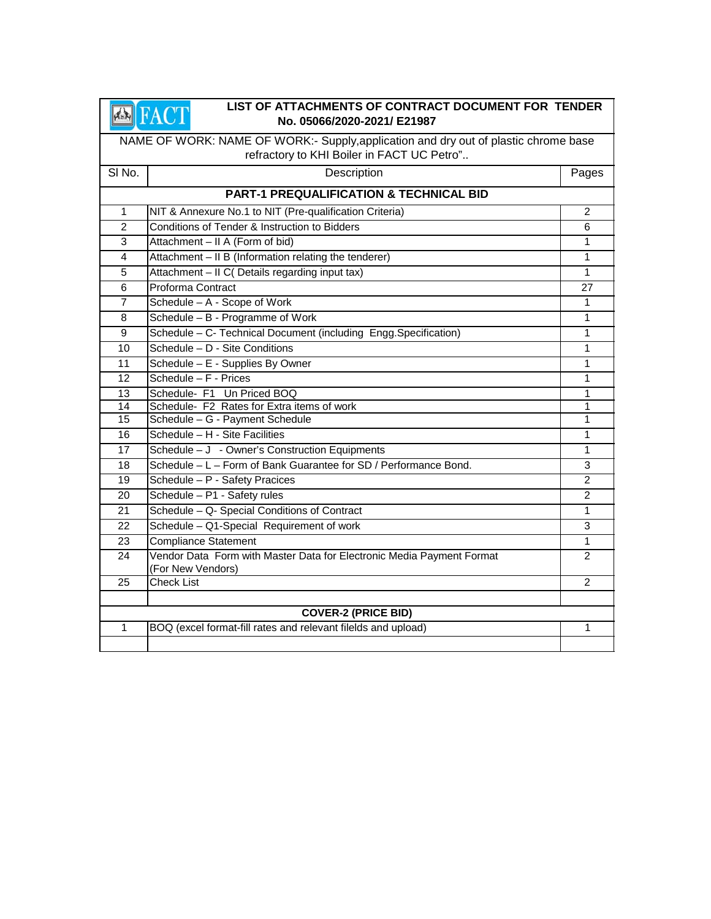### **EXAMPLEMENTS OF CONTRACT DOCUMENT FOR TENDER**<br>No. 05066/2020-2021/ E21987 **No. 05066/2020-2021/ E21987**

NAME OF WORK: NAME OF WORK:- Supply,application and dry out of plastic chrome base refractory to KHI Boiler in FACT UC Petro"..

| SI No.                                             | Description                                                                                | Pages        |  |  |
|----------------------------------------------------|--------------------------------------------------------------------------------------------|--------------|--|--|
| <b>PART-1 PREQUALIFICATION &amp; TECHNICAL BID</b> |                                                                                            |              |  |  |
| $\mathbf{1}$                                       | NIT & Annexure No.1 to NIT (Pre-qualification Criteria)                                    | 2            |  |  |
| $\overline{2}$                                     | Conditions of Tender & Instruction to Bidders                                              | 6            |  |  |
| 3                                                  | Attachment - II A (Form of bid)                                                            | 1            |  |  |
| 4                                                  | Attachment - II B (Information relating the tenderer)                                      | 1            |  |  |
| $\overline{5}$                                     | Attachment - II C( Details regarding input tax)                                            | $\mathbf{1}$ |  |  |
| 6                                                  | Proforma Contract                                                                          | 27           |  |  |
| $\overline{7}$                                     | Schedule - A - Scope of Work                                                               | $\mathbf{1}$ |  |  |
| 8                                                  | Schedule - B - Programme of Work                                                           | $\mathbf{1}$ |  |  |
| 9                                                  | Schedule - C- Technical Document (including Engg.Specification)                            | $\mathbf{1}$ |  |  |
| 10                                                 | Schedule - D - Site Conditions                                                             | $\mathbf{1}$ |  |  |
| 11                                                 | Schedule - E - Supplies By Owner                                                           | 1            |  |  |
| 12                                                 | Schedule - F - Prices                                                                      | 1            |  |  |
| 13                                                 | Schedule- F1 Un Priced BOQ                                                                 | 1            |  |  |
| 14                                                 | Schedule- F2 Rates for Extra items of work                                                 | 1            |  |  |
| 15                                                 | Schedule - G - Payment Schedule                                                            | 1            |  |  |
| 16                                                 | Schedule - H - Site Facilities                                                             | 1            |  |  |
| 17                                                 | Schedule - J - Owner's Construction Equipments                                             | $\mathbf{1}$ |  |  |
| 18                                                 | Schedule - L - Form of Bank Guarantee for SD / Performance Bond.                           | 3            |  |  |
| 19                                                 | Schedule - P - Safety Pracices                                                             | 2            |  |  |
| 20                                                 | Schedule - P1 - Safety rules                                                               | 2            |  |  |
| 21                                                 | Schedule - Q- Special Conditions of Contract                                               | 1            |  |  |
| 22                                                 | Schedule - Q1-Special Requirement of work                                                  | 3            |  |  |
| 23                                                 | <b>Compliance Statement</b>                                                                | $\mathbf{1}$ |  |  |
| 24                                                 | Vendor Data Form with Master Data for Electronic Media Payment Format<br>(For New Vendors) | 2            |  |  |
| 25                                                 | <b>Check List</b>                                                                          | 2            |  |  |
|                                                    |                                                                                            |              |  |  |
| <b>COVER-2 (PRICE BID)</b>                         |                                                                                            |              |  |  |
| $\mathbf{1}$                                       | BOQ (excel format-fill rates and relevant filelds and upload)                              | 1            |  |  |
|                                                    |                                                                                            |              |  |  |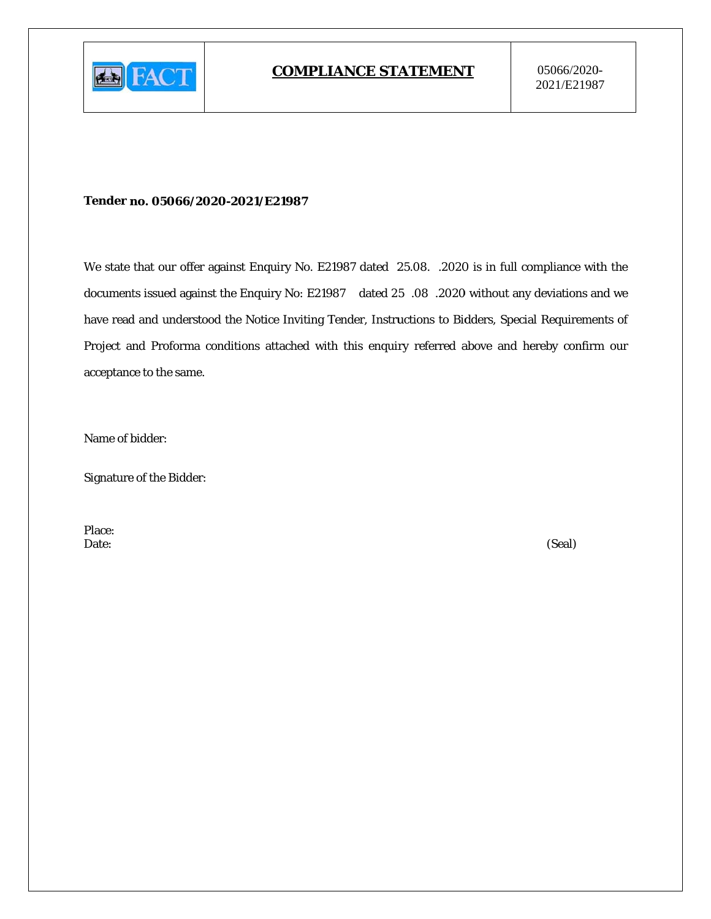

#### Tender no. 05066/2020-2021/E21987

We state that our offer against Enquiry No. E21987 dated 25.08. .2020 is in full compliance with the documents issued against the Enquiry No: E21987 dated 25 .08 .2020 without any deviations and we have read and understood the Notice Inviting Tender, Instructions to Bidders, Special Requirements of Project and Proforma conditions attached with this enquiry referred above and hereby confirm our acceptance to the same.

Name of bidder:

**Signature of the Bidder:** 

Place: Date:

(Seal)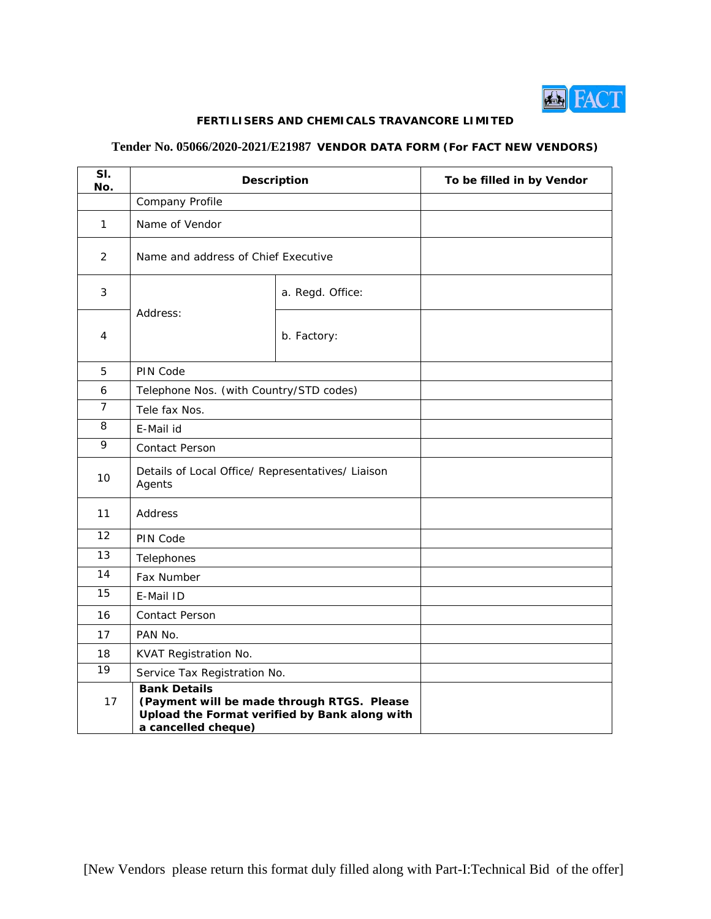

### **FERTILISERS AND CHEMICALS TRAVANCORE LIMITED**

## **Tender No. 05066/2020-2021/E21987 VENDOR DATA FORM (For FACT NEW VENDORS)**

| SI.<br>No.     | <b>Description</b>                                          |                                                                                             | To be filled in by Vendor |
|----------------|-------------------------------------------------------------|---------------------------------------------------------------------------------------------|---------------------------|
|                | Company Profile                                             |                                                                                             |                           |
| $\mathbf{1}$   | Name of Vendor                                              |                                                                                             |                           |
| 2              | Name and address of Chief Executive                         |                                                                                             |                           |
| $\mathfrak{Z}$ |                                                             | a. Regd. Office:                                                                            |                           |
| 4              | Address:                                                    | b. Factory:                                                                                 |                           |
| 5              | PIN Code                                                    |                                                                                             |                           |
| 6              | Telephone Nos. (with Country/STD codes)                     |                                                                                             |                           |
| $\overline{7}$ | Tele fax Nos.                                               |                                                                                             |                           |
| 8              | E-Mail id                                                   |                                                                                             |                           |
| 9              | Contact Person                                              |                                                                                             |                           |
| 10             | Details of Local Office/ Representatives/ Liaison<br>Agents |                                                                                             |                           |
| 11             | Address                                                     |                                                                                             |                           |
| 12             | PIN Code                                                    |                                                                                             |                           |
| 13             | Telephones                                                  |                                                                                             |                           |
| 14             | Fax Number                                                  |                                                                                             |                           |
| 15             | E-Mail ID                                                   |                                                                                             |                           |
| 16             | <b>Contact Person</b>                                       |                                                                                             |                           |
| 17             | PAN No.                                                     |                                                                                             |                           |
| 18             | KVAT Registration No.                                       |                                                                                             |                           |
| 19             | Service Tax Registration No.                                |                                                                                             |                           |
| 17             | <b>Bank Details</b><br>a cancelled cheque)                  | (Payment will be made through RTGS. Please<br>Upload the Format verified by Bank along with |                           |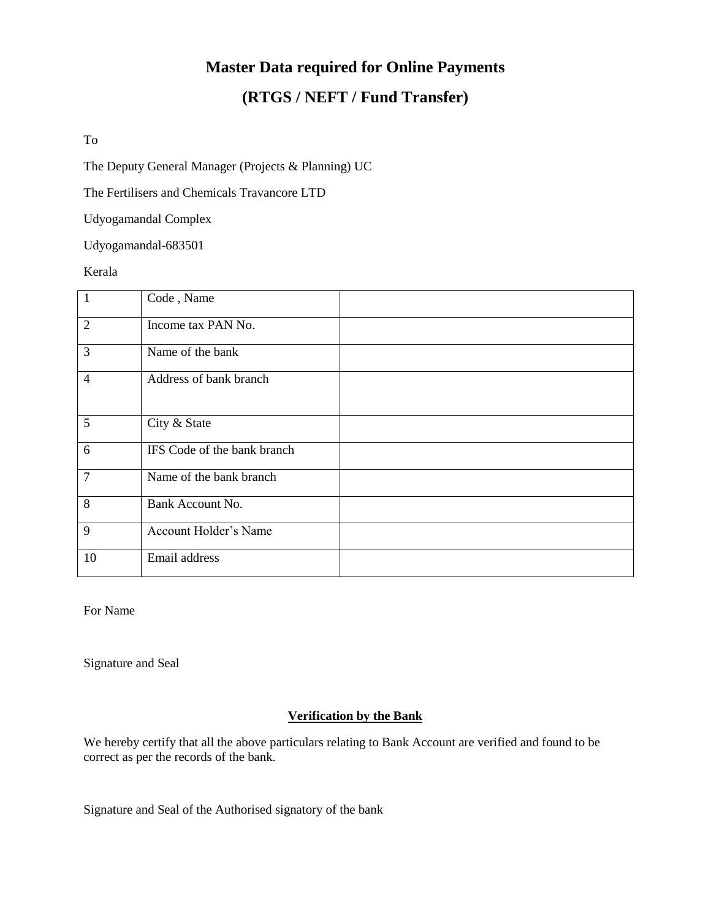# **Master Data required for Online Payments (RTGS / NEFT / Fund Transfer)**

To

The Deputy General Manager (Projects & Planning) UC

The Fertilisers and Chemicals Travancore LTD

Udyogamandal Complex

Udyogamandal-683501

Kerala

| $\mathbf{1}$   | Code, Name                  |
|----------------|-----------------------------|
| $\overline{2}$ | Income tax PAN No.          |
| 3              | Name of the bank            |
| $\overline{4}$ | Address of bank branch      |
| 5              | City & State                |
| 6              | IFS Code of the bank branch |
| $\overline{7}$ | Name of the bank branch     |
| 8              | Bank Account No.            |
| 9              | Account Holder's Name       |
| 10             | Email address               |

For Name

Signature and Seal

## **Verification by the Bank**

We hereby certify that all the above particulars relating to Bank Account are verified and found to be correct as per the records of the bank.

Signature and Seal of the Authorised signatory of the bank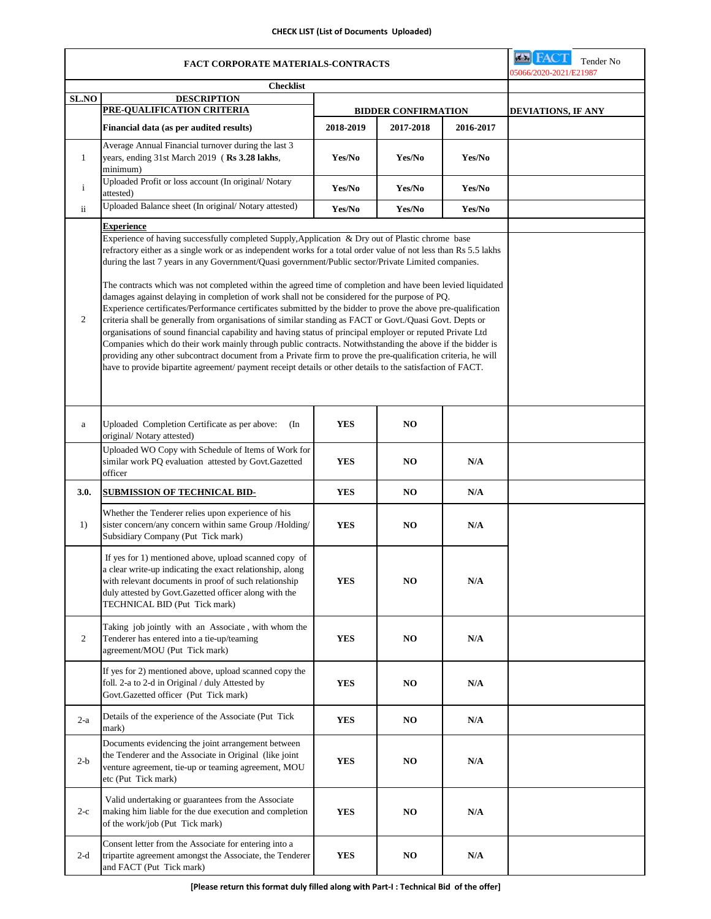### **CHECK LIST (List of Documents Uploaded)**

| <b>FACT CORPORATE MATERIALS-CONTRACTS</b> |                                                                                                                                                                                                                                                                                                                                                                                                                                                                                                                                                                                                                                                                                                                                                                                                                                                                                                                                                                                                                                                                                                                                                                                                                                                        |                            |                | <b>EX FACT</b><br>Tender No<br>05066/2020-2021/E21987 |  |
|-------------------------------------------|--------------------------------------------------------------------------------------------------------------------------------------------------------------------------------------------------------------------------------------------------------------------------------------------------------------------------------------------------------------------------------------------------------------------------------------------------------------------------------------------------------------------------------------------------------------------------------------------------------------------------------------------------------------------------------------------------------------------------------------------------------------------------------------------------------------------------------------------------------------------------------------------------------------------------------------------------------------------------------------------------------------------------------------------------------------------------------------------------------------------------------------------------------------------------------------------------------------------------------------------------------|----------------------------|----------------|-------------------------------------------------------|--|
| <b>Checklist</b>                          |                                                                                                                                                                                                                                                                                                                                                                                                                                                                                                                                                                                                                                                                                                                                                                                                                                                                                                                                                                                                                                                                                                                                                                                                                                                        |                            |                |                                                       |  |
| <b>SL.NO</b>                              | <b>DESCRIPTION</b><br>PRE-QUALIFICATION CRITERIA                                                                                                                                                                                                                                                                                                                                                                                                                                                                                                                                                                                                                                                                                                                                                                                                                                                                                                                                                                                                                                                                                                                                                                                                       | <b>BIDDER CONFIRMATION</b> |                | <b>DEVIATIONS, IF ANY</b>                             |  |
|                                           | Financial data (as per audited results)                                                                                                                                                                                                                                                                                                                                                                                                                                                                                                                                                                                                                                                                                                                                                                                                                                                                                                                                                                                                                                                                                                                                                                                                                | 2018-2019                  | 2017-2018      | 2016-2017                                             |  |
| $\mathbf{1}$                              | Average Annual Financial turnover during the last 3<br>years, ending 31st March 2019 (Rs 3.28 lakhs,<br>minimum)                                                                                                                                                                                                                                                                                                                                                                                                                                                                                                                                                                                                                                                                                                                                                                                                                                                                                                                                                                                                                                                                                                                                       | Yes/No                     | Yes/No         | Yes/No                                                |  |
| $\mathbf{i}$                              | Uploaded Profit or loss account (In original/Notary<br>attested)                                                                                                                                                                                                                                                                                                                                                                                                                                                                                                                                                                                                                                                                                                                                                                                                                                                                                                                                                                                                                                                                                                                                                                                       | Yes/No                     | Yes/No         | Yes/No                                                |  |
| ii                                        | Uploaded Balance sheet (In original/Notary attested)                                                                                                                                                                                                                                                                                                                                                                                                                                                                                                                                                                                                                                                                                                                                                                                                                                                                                                                                                                                                                                                                                                                                                                                                   | Yes/No                     | Yes/No         | Yes/No                                                |  |
| 2                                         | <b>Experience</b><br>Experience of having successfully completed Supply, Application & Dry out of Plastic chrome base<br>refractory either as a single work or as independent works for a total order value of not less than Rs 5.5 lakhs<br>during the last 7 years in any Government/Quasi government/Public sector/Private Limited companies.<br>The contracts which was not completed within the agreed time of completion and have been levied liquidated<br>damages against delaying in completion of work shall not be considered for the purpose of PQ.<br>Experience certificates/Performance certificates submitted by the bidder to prove the above pre-qualification<br>criteria shall be generally from organisations of similar standing as FACT or Govt./Quasi Govt. Depts or<br>organisations of sound financial capability and having status of principal employer or reputed Private Ltd<br>Companies which do their work mainly through public contracts. Notwithstanding the above if the bidder is<br>providing any other subcontract document from a Private firm to prove the pre-qualification criteria, he will<br>have to provide bipartite agreement/ payment receipt details or other details to the satisfaction of FACT. |                            |                |                                                       |  |
| a                                         | Uploaded Completion Certificate as per above:<br>(In<br>original/Notary attested)                                                                                                                                                                                                                                                                                                                                                                                                                                                                                                                                                                                                                                                                                                                                                                                                                                                                                                                                                                                                                                                                                                                                                                      | <b>YES</b>                 | NO             |                                                       |  |
|                                           | Uploaded WO Copy with Schedule of Items of Work for<br>similar work PQ evaluation attested by Govt.Gazetted<br>officer                                                                                                                                                                                                                                                                                                                                                                                                                                                                                                                                                                                                                                                                                                                                                                                                                                                                                                                                                                                                                                                                                                                                 | <b>YES</b>                 | NO             | N/A                                                   |  |
| 3.0.                                      | <b>SUBMISSION OF TECHNICAL BID-</b>                                                                                                                                                                                                                                                                                                                                                                                                                                                                                                                                                                                                                                                                                                                                                                                                                                                                                                                                                                                                                                                                                                                                                                                                                    | <b>YES</b>                 | NO             | N/A                                                   |  |
| 1)                                        | Whether the Tenderer relies upon experience of his<br>sister concern/any concern within same Group /Holding/<br>Subsidiary Company (Put Tick mark)                                                                                                                                                                                                                                                                                                                                                                                                                                                                                                                                                                                                                                                                                                                                                                                                                                                                                                                                                                                                                                                                                                     | YES                        | NO             | N/A                                                   |  |
|                                           | If yes for 1) mentioned above, upload scanned copy of<br>a clear write-up indicating the exact relationship, along<br>with relevant documents in proof of such relationship<br>duly attested by Govt.Gazetted officer along with the<br>TECHNICAL BID (Put Tick mark)                                                                                                                                                                                                                                                                                                                                                                                                                                                                                                                                                                                                                                                                                                                                                                                                                                                                                                                                                                                  | <b>YES</b>                 | NO             | N/A                                                   |  |
| $\overline{2}$                            | Taking job jointly with an Associate, with whom the<br>Tenderer has entered into a tie-up/teaming<br>agreement/MOU (Put Tick mark)                                                                                                                                                                                                                                                                                                                                                                                                                                                                                                                                                                                                                                                                                                                                                                                                                                                                                                                                                                                                                                                                                                                     | <b>YES</b>                 | NO.            | N/A                                                   |  |
|                                           | If yes for 2) mentioned above, upload scanned copy the<br>foll. 2-a to 2-d in Original / duly Attested by<br>Govt.Gazetted officer (Put Tick mark)                                                                                                                                                                                                                                                                                                                                                                                                                                                                                                                                                                                                                                                                                                                                                                                                                                                                                                                                                                                                                                                                                                     | YES                        | NO.            | N/A                                                   |  |
| $2-a$                                     | Details of the experience of the Associate (Put Tick<br>mark)                                                                                                                                                                                                                                                                                                                                                                                                                                                                                                                                                                                                                                                                                                                                                                                                                                                                                                                                                                                                                                                                                                                                                                                          | YES                        | NO             | N/A                                                   |  |
| $2-b$                                     | Documents evidencing the joint arrangement between<br>the Tenderer and the Associate in Original (like joint<br>venture agreement, tie-up or teaming agreement, MOU<br>etc (Put Tick mark)                                                                                                                                                                                                                                                                                                                                                                                                                                                                                                                                                                                                                                                                                                                                                                                                                                                                                                                                                                                                                                                             | <b>YES</b>                 | NO             | N/A                                                   |  |
| $2-c$                                     | Valid undertaking or guarantees from the Associate<br>making him liable for the due execution and completion<br>of the work/job (Put Tick mark)                                                                                                                                                                                                                                                                                                                                                                                                                                                                                                                                                                                                                                                                                                                                                                                                                                                                                                                                                                                                                                                                                                        | <b>YES</b>                 | N <sub>O</sub> | N/A                                                   |  |
| $2-d$                                     | Consent letter from the Associate for entering into a<br>tripartite agreement amongst the Associate, the Tenderer<br>and FACT (Put Tick mark)                                                                                                                                                                                                                                                                                                                                                                                                                                                                                                                                                                                                                                                                                                                                                                                                                                                                                                                                                                                                                                                                                                          | YES                        | NO             | N/A                                                   |  |